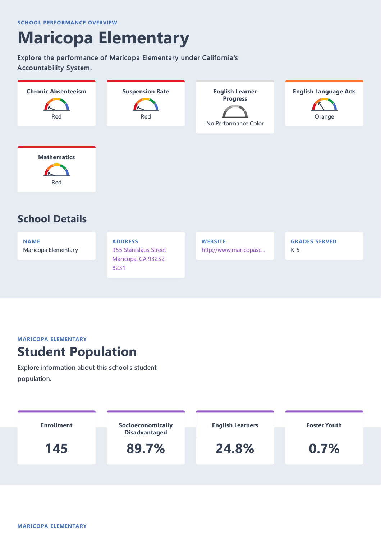# **Maricopa Elementary**

Explore the performance of Maricopa Elementary under California's Accountability System.



**NAME** Maricopa Elementary **ADDRESS** 955 Stanislaus Street Maricopa, CA 93252- 8231

**WEBSITE** http://www.maricopasc… **GRADES SERVED** K-5

#### **MARICOPA ELEMENTARY**

#### **Student Population**

Explore information about this school's student population.

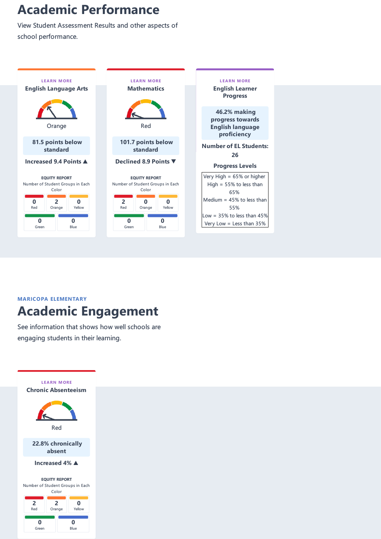## **Academic Performance**

View Student Assessment Results and other aspects of school performance.



**MARICOPA ELEMENTARY Academic Engagement**

See information that shows how well schools are engaging students in their learning.